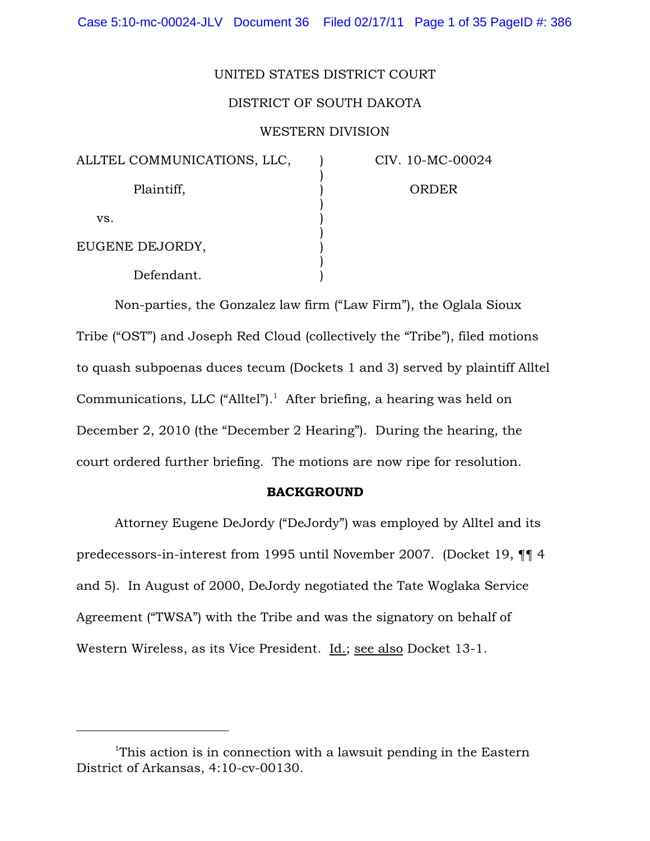#### UNITED STATES DISTRICT COURT

### DISTRICT OF SOUTH DAKOTA

## WESTERN DIVISION

) ) ) ) ) ) ) ) )

| ALLTEL COMMUNICATIONS, LLC, |  |  |  |
|-----------------------------|--|--|--|
| Plaintiff,                  |  |  |  |
| VS.                         |  |  |  |
| EUGENE DEJORDY,             |  |  |  |
| Defendant.                  |  |  |  |

CIV. 10-MC-00024

ORDER

Non-parties, the Gonzalez law firm ("Law Firm"), the Oglala Sioux Tribe ("OST") and Joseph Red Cloud (collectively the "Tribe"), filed motions to quash subpoenas duces tecum (Dockets 1 and 3) served by plaintiff Alltel Communications, LLC ("Alltel").<sup>1</sup> After briefing, a hearing was held on December 2, 2010 (the "December 2 Hearing"). During the hearing, the court ordered further briefing. The motions are now ripe for resolution.

## BACKGROUND

Attorney Eugene DeJordy ("DeJordy") was employed by Alltel and its predecessors-in-interest from 1995 until November 2007. (Docket 19, ¶¶ 4 and 5). In August of 2000, DeJordy negotiated the Tate Woglaka Service Agreement ("TWSA") with the Tribe and was the signatory on behalf of Western Wireless, as its Vice President. Id.; see also Docket 13-1.

<sup>&</sup>lt;sup>1</sup>This action is in connection with a lawsuit pending in the Eastern District of Arkansas, 4:10-cv-00130.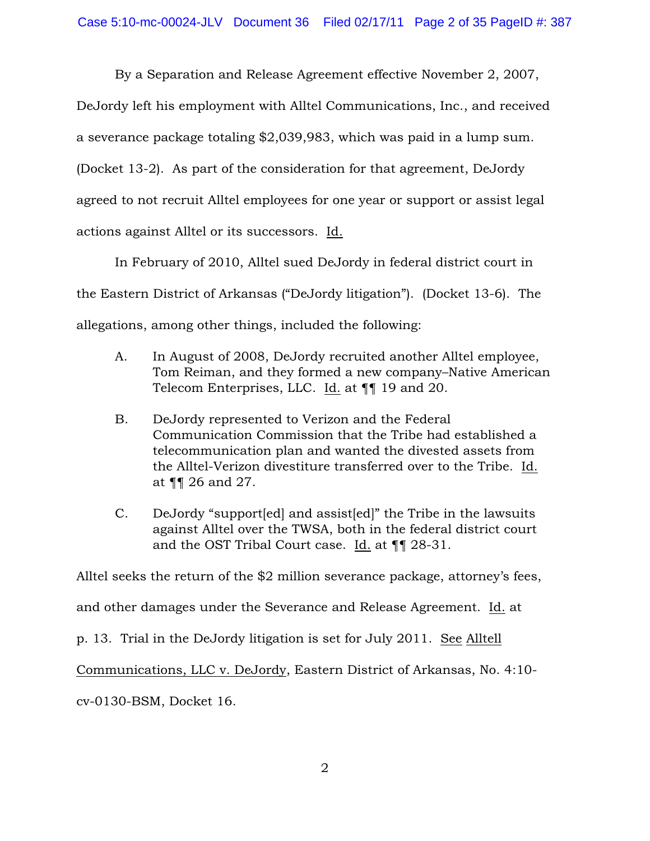By a Separation and Release Agreement effective November 2, 2007, DeJordy left his employment with Alltel Communications, Inc., and received a severance package totaling \$2,039,983, which was paid in a lump sum. (Docket 13-2). As part of the consideration for that agreement, DeJordy agreed to not recruit Alltel employees for one year or support or assist legal actions against Alltel or its successors. Id.

In February of 2010, Alltel sued DeJordy in federal district court in the Eastern District of Arkansas ("DeJordy litigation"). (Docket 13-6). The allegations, among other things, included the following:

- A. In August of 2008, DeJordy recruited another Alltel employee, Tom Reiman, and they formed a new company–Native American Telecom Enterprises, LLC. Id. at ¶¶ 19 and 20.
- B. DeJordy represented to Verizon and the Federal Communication Commission that the Tribe had established a telecommunication plan and wanted the divested assets from the Alltel-Verizon divestiture transferred over to the Tribe. Id. at ¶¶ 26 and 27.
- C. DeJordy "support[ed] and assist[ed]" the Tribe in the lawsuits against Alltel over the TWSA, both in the federal district court and the OST Tribal Court case. Id. at ¶¶ 28-31.

Alltel seeks the return of the \$2 million severance package, attorney's fees,

and other damages under the Severance and Release Agreement. Id. at

p. 13. Trial in the DeJordy litigation is set for July 2011. See Alltell

Communications, LLC v. DeJordy, Eastern District of Arkansas, No. 4:10-

cv-0130-BSM, Docket 16.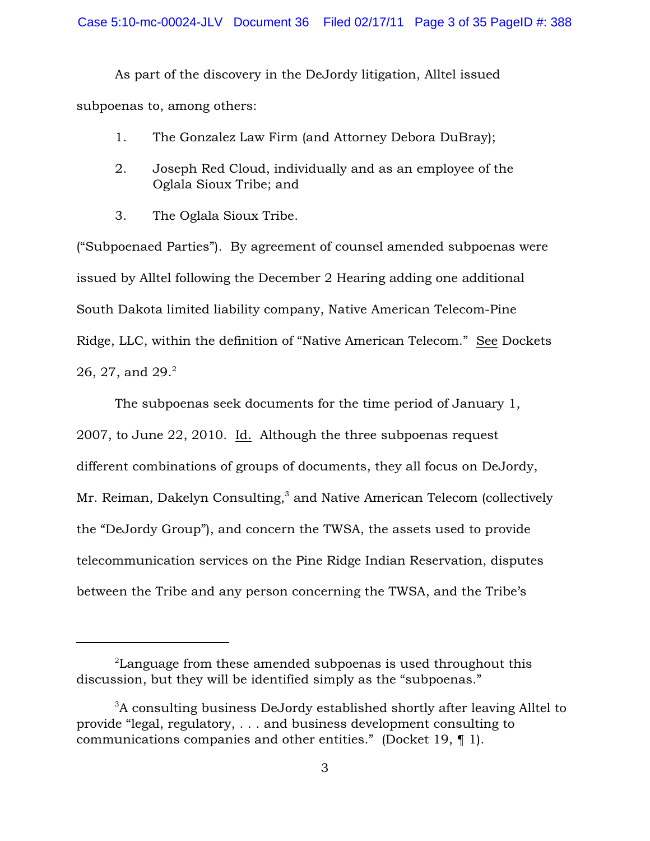As part of the discovery in the DeJordy litigation, Alltel issued subpoenas to, among others:

- 1. The Gonzalez Law Firm (and Attorney Debora DuBray);
- 2. Joseph Red Cloud, individually and as an employee of the Oglala Sioux Tribe; and
- 3. The Oglala Sioux Tribe.

("Subpoenaed Parties"). By agreement of counsel amended subpoenas were issued by Alltel following the December 2 Hearing adding one additional South Dakota limited liability company, Native American Telecom-Pine Ridge, LLC, within the definition of "Native American Telecom." See Dockets 26, 27, and 29.<sup>2</sup>

The subpoenas seek documents for the time period of January 1, 2007, to June 22, 2010. Id. Although the three subpoenas request different combinations of groups of documents, they all focus on DeJordy, Mr. Reiman, Dakelyn Consulting,<sup>3</sup> and Native American Telecom (collectively the "DeJordy Group"), and concern the TWSA, the assets used to provide telecommunication services on the Pine Ridge Indian Reservation, disputes between the Tribe and any person concerning the TWSA, and the Tribe's

 $2^2$ Language from these amended subpoenas is used throughout this discussion, but they will be identified simply as the "subpoenas."

 $3A$  consulting business DeJordy established shortly after leaving Alltel to provide "legal, regulatory, . . . and business development consulting to communications companies and other entities." (Docket 19, ¶ 1).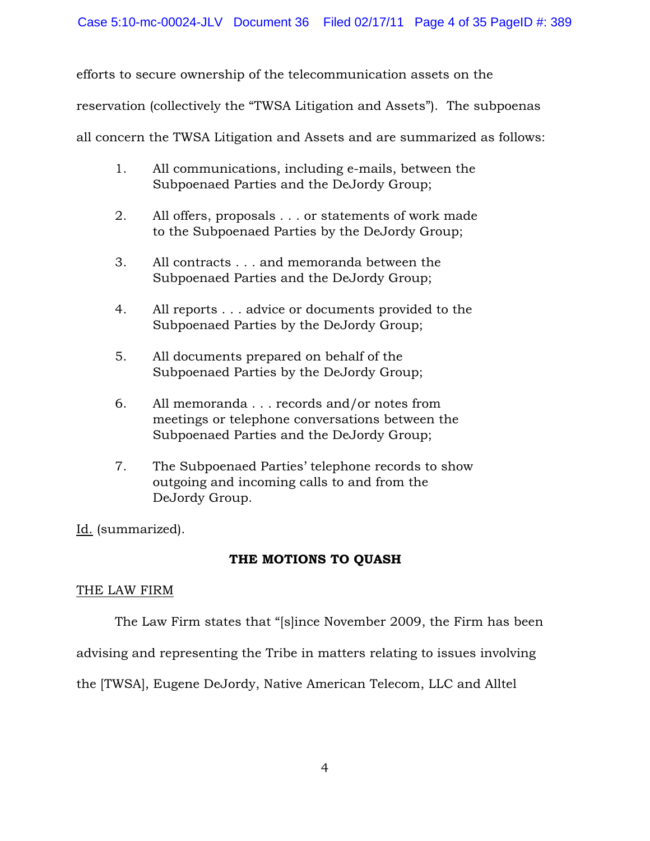efforts to secure ownership of the telecommunication assets on the

reservation (collectively the "TWSA Litigation and Assets"). The subpoenas

all concern the TWSA Litigation and Assets and are summarized as follows:

- 1. All communications, including e-mails, between the Subpoenaed Parties and the DeJordy Group;
- 2. All offers, proposals . . . or statements of work made to the Subpoenaed Parties by the DeJordy Group;
- 3. All contracts . . . and memoranda between the Subpoenaed Parties and the DeJordy Group;
- 4. All reports . . . advice or documents provided to the Subpoenaed Parties by the DeJordy Group;
- 5. All documents prepared on behalf of the Subpoenaed Parties by the DeJordy Group;
- 6. All memoranda . . . records and/or notes from meetings or telephone conversations between the Subpoenaed Parties and the DeJordy Group;
- 7. The Subpoenaed Parties' telephone records to show outgoing and incoming calls to and from the DeJordy Group.

Id. (summarized).

# THE MOTIONS TO QUASH

# THE LAW FIRM

The Law Firm states that "[s]ince November 2009, the Firm has been

advising and representing the Tribe in matters relating to issues involving

the [TWSA], Eugene DeJordy, Native American Telecom, LLC and Alltel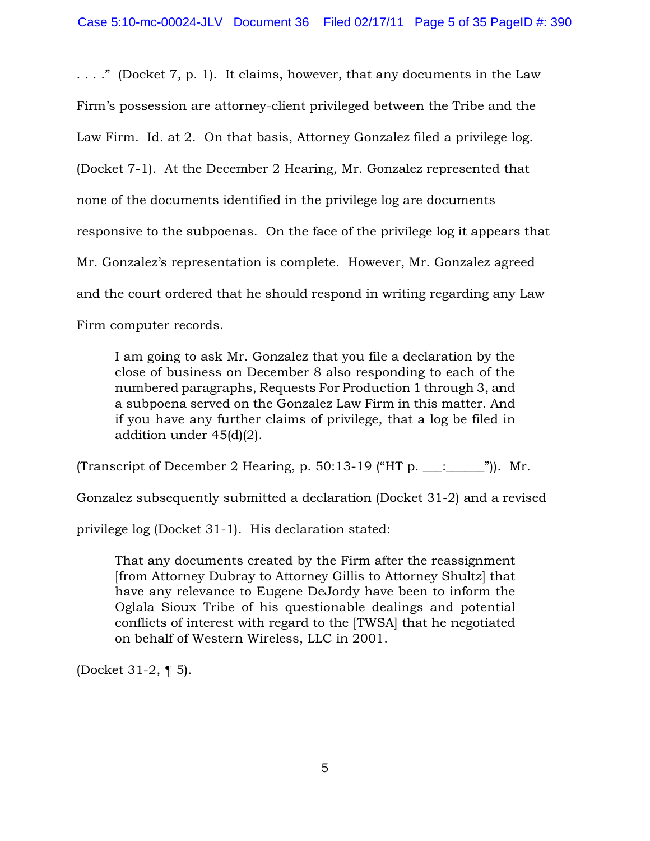. . . ." (Docket 7, p. 1). It claims, however, that any documents in the Law Firm's possession are attorney-client privileged between the Tribe and the Law Firm. Id. at 2. On that basis, Attorney Gonzalez filed a privilege log. (Docket 7-1). At the December 2 Hearing, Mr. Gonzalez represented that none of the documents identified in the privilege log are documents responsive to the subpoenas. On the face of the privilege log it appears that Mr. Gonzalez's representation is complete. However, Mr. Gonzalez agreed and the court ordered that he should respond in writing regarding any Law Firm computer records.

I am going to ask Mr. Gonzalez that you file a declaration by the close of business on December 8 also responding to each of the numbered paragraphs, Requests For Production 1 through 3, and a subpoena served on the Gonzalez Law Firm in this matter. And if you have any further claims of privilege, that a log be filed in addition under 45(d)(2).

(Transcript of December 2 Hearing, p. 50:13-19 ("HT p.  $\ldots$   $\ldots$  ")). Mr.

Gonzalez subsequently submitted a declaration (Docket 31-2) and a revised

privilege log (Docket 31-1). His declaration stated:

That any documents created by the Firm after the reassignment [from Attorney Dubray to Attorney Gillis to Attorney Shultz] that have any relevance to Eugene DeJordy have been to inform the Oglala Sioux Tribe of his questionable dealings and potential conflicts of interest with regard to the [TWSA] that he negotiated on behalf of Western Wireless, LLC in 2001.

(Docket 31-2, ¶ 5).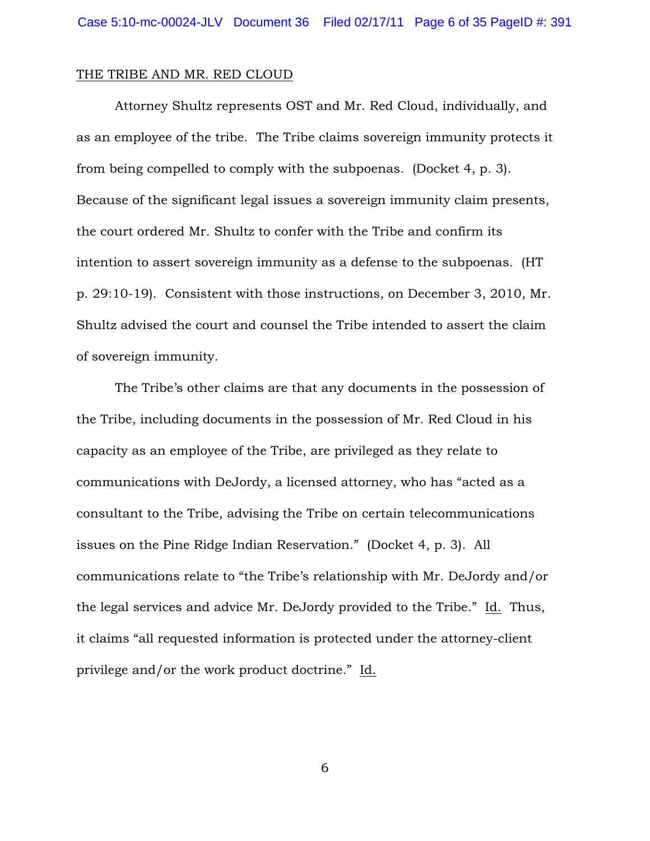#### THE TRIBE AND MR. RED CLOUD

Attorney Shultz represents OST and Mr. Red Cloud, individually, and as an employee of the tribe. The Tribe claims sovereign immunity protects it from being compelled to comply with the subpoenas. (Docket 4, p. 3). Because of the significant legal issues a sovereign immunity claim presents, the court ordered Mr. Shultz to confer with the Tribe and confirm its intention to assert sovereign immunity as a defense to the subpoenas. (HT p. 29:10-19). Consistent with those instructions, on December 3, 2010, Mr. Shultz advised the court and counsel the Tribe intended to assert the claim of sovereign immunity.

The Tribe's other claims are that any documents in the possession of the Tribe, including documents in the possession of Mr. Red Cloud in his capacity as an employee of the Tribe, are privileged as they relate to communications with DeJordy, a licensed attorney, who has "acted as a consultant to the Tribe, advising the Tribe on certain telecommunications issues on the Pine Ridge Indian Reservation." (Docket 4, p. 3). All communications relate to "the Tribe's relationship with Mr. DeJordy and/or the legal services and advice Mr. DeJordy provided to the Tribe." Id. Thus, it claims "all requested information is protected under the attorney-client privilege and/or the work product doctrine." Id.

6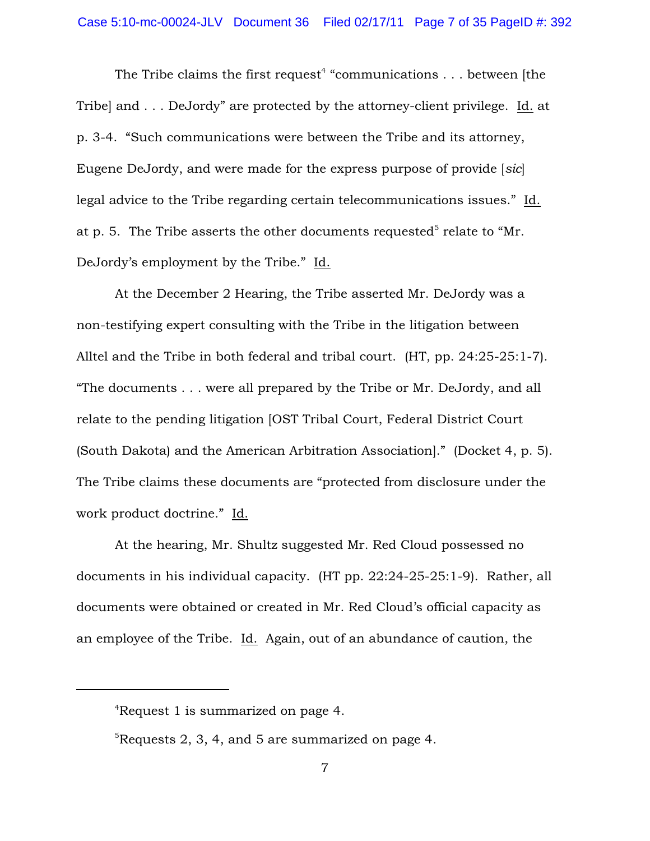The Tribe claims the first request<sup>4</sup> "communications  $\dots$  between [the Tribe] and . . . DeJordy" are protected by the attorney-client privilege. Id. at p. 3-4. "Such communications were between the Tribe and its attorney, Eugene DeJordy, and were made for the express purpose of provide [*sic*] legal advice to the Tribe regarding certain telecommunications issues." Id. at p. 5. The Tribe asserts the other documents requested<sup>5</sup> relate to "Mr. DeJordy's employment by the Tribe." Id.

At the December 2 Hearing, the Tribe asserted Mr. DeJordy was a non-testifying expert consulting with the Tribe in the litigation between Alltel and the Tribe in both federal and tribal court. (HT, pp. 24:25-25:1-7). "The documents . . . were all prepared by the Tribe or Mr. DeJordy, and all relate to the pending litigation [OST Tribal Court, Federal District Court (South Dakota) and the American Arbitration Association]." (Docket 4, p. 5). The Tribe claims these documents are "protected from disclosure under the work product doctrine." Id.

At the hearing, Mr. Shultz suggested Mr. Red Cloud possessed no documents in his individual capacity. (HT pp. 22:24-25-25:1-9). Rather, all documents were obtained or created in Mr. Red Cloud's official capacity as an employee of the Tribe. Id. Again, out of an abundance of caution, the

<sup>&</sup>lt;sup>4</sup>Request 1 is summarized on page 4.

 ${}^{5}$ Requests 2, 3, 4, and 5 are summarized on page 4.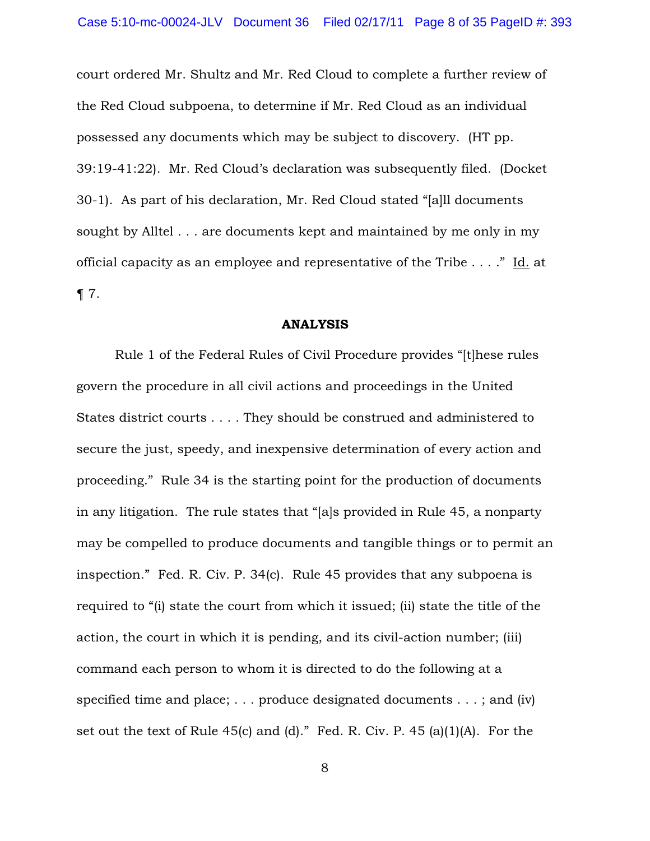court ordered Mr. Shultz and Mr. Red Cloud to complete a further review of the Red Cloud subpoena, to determine if Mr. Red Cloud as an individual possessed any documents which may be subject to discovery. (HT pp. 39:19-41:22). Mr. Red Cloud's declaration was subsequently filed. (Docket 30-1). As part of his declaration, Mr. Red Cloud stated "[a]ll documents sought by Alltel . . . are documents kept and maintained by me only in my official capacity as an employee and representative of the Tribe . . . ." Id. at ¶ 7.

### ANALYSIS

Rule 1 of the Federal Rules of Civil Procedure provides "[t]hese rules govern the procedure in all civil actions and proceedings in the United States district courts . . . . They should be construed and administered to secure the just, speedy, and inexpensive determination of every action and proceeding." Rule 34 is the starting point for the production of documents in any litigation. The rule states that "[a]s provided in Rule 45, a nonparty may be compelled to produce documents and tangible things or to permit an inspection." Fed. R. Civ. P. 34(c). Rule 45 provides that any subpoena is required to "(i) state the court from which it issued; (ii) state the title of the action, the court in which it is pending, and its civil-action number; (iii) command each person to whom it is directed to do the following at a specified time and place; . . . produce designated documents . . . ; and (iv) set out the text of Rule 45(c) and (d)." Fed. R. Civ. P. 45 (a)(1)(A). For the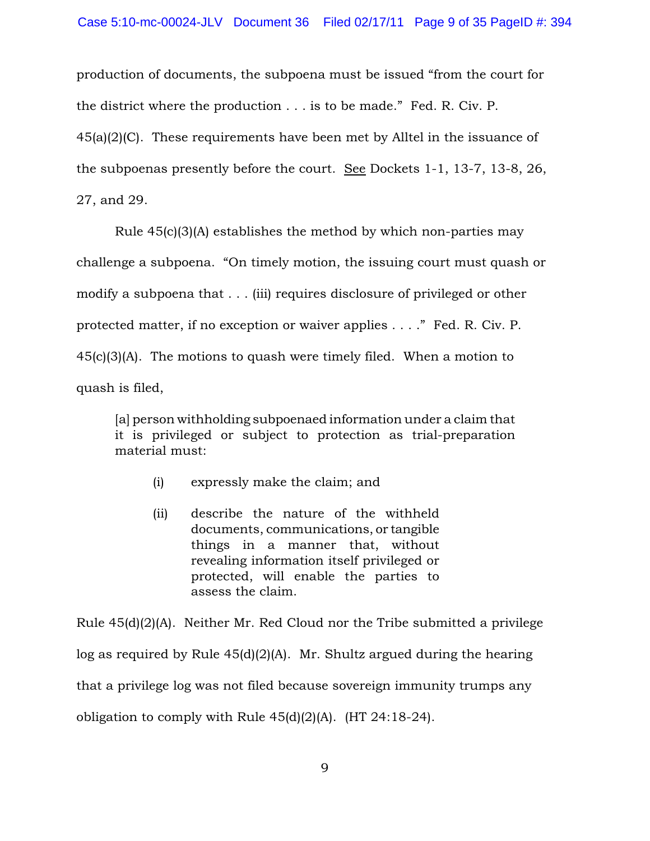production of documents, the subpoena must be issued "from the court for the district where the production . . . is to be made." Fed. R. Civ. P. 45(a)(2)(C). These requirements have been met by Alltel in the issuance of the subpoenas presently before the court. See Dockets 1-1, 13-7, 13-8, 26, 27, and 29.

Rule 45(c)(3)(A) establishes the method by which non-parties may challenge a subpoena. "On timely motion, the issuing court must quash or modify a subpoena that . . . (iii) requires disclosure of privileged or other protected matter, if no exception or waiver applies . . . ." Fed. R. Civ. P. 45(c)(3)(A). The motions to quash were timely filed. When a motion to quash is filed,

[a] person withholding subpoenaed information under a claim that it is privileged or subject to protection as trial-preparation material must:

- (i) expressly make the claim; and
- (ii) describe the nature of the withheld documents, communications, or tangible things in a manner that, without revealing information itself privileged or protected, will enable the parties to assess the claim.

Rule 45(d)(2)(A). Neither Mr. Red Cloud nor the Tribe submitted a privilege log as required by Rule 45(d)(2)(A). Mr. Shultz argued during the hearing that a privilege log was not filed because sovereign immunity trumps any obligation to comply with Rule  $45(d)(2)(A)$ . (HT 24:18-24).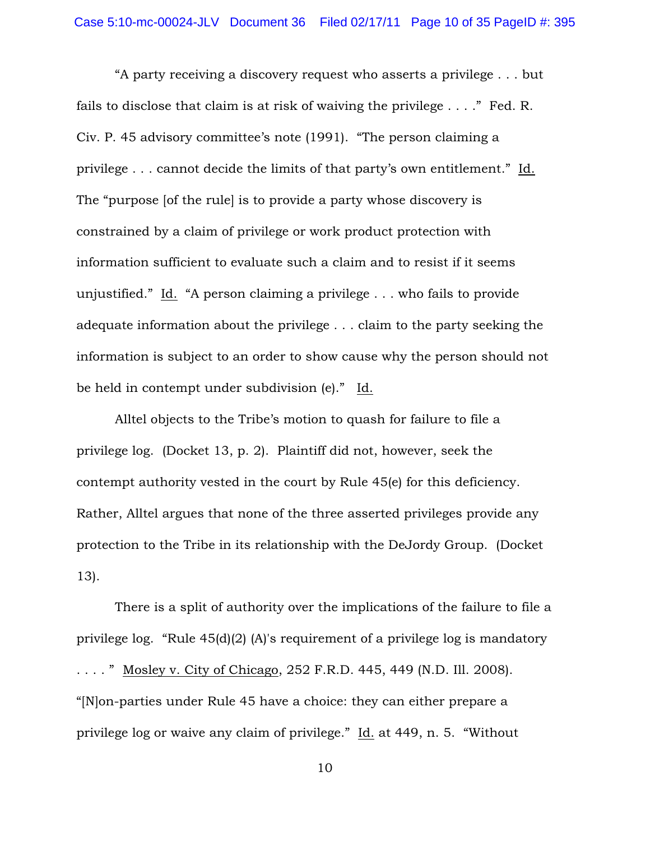"A party receiving a discovery request who asserts a privilege . . . but fails to disclose that claim is at risk of waiving the privilege . . . ." Fed. R. Civ. P. 45 advisory committee's note (1991). "The person claiming a privilege . . . cannot decide the limits of that party's own entitlement." Id. The "purpose [of the rule] is to provide a party whose discovery is constrained by a claim of privilege or work product protection with information sufficient to evaluate such a claim and to resist if it seems unjustified." Id. "A person claiming a privilege . . . who fails to provide adequate information about the privilege . . . claim to the party seeking the information is subject to an order to show cause why the person should not be held in contempt under subdivision (e)." Id.

Alltel objects to the Tribe's motion to quash for failure to file a privilege log. (Docket 13, p. 2). Plaintiff did not, however, seek the contempt authority vested in the court by Rule 45(e) for this deficiency. Rather, Alltel argues that none of the three asserted privileges provide any protection to the Tribe in its relationship with the DeJordy Group. (Docket 13).

There is a split of authority over the implications of the failure to file a privilege log. "Rule 45(d)(2) (A)'s requirement of a privilege log is mandatory . . . . " Mosley v. City of Chicago, 252 F.R.D. 445, 449 (N.D. Ill. 2008). "[N]on-parties under Rule 45 have a choice: they can either prepare a privilege log or waive any claim of privilege." Id. at 449, n. 5. "Without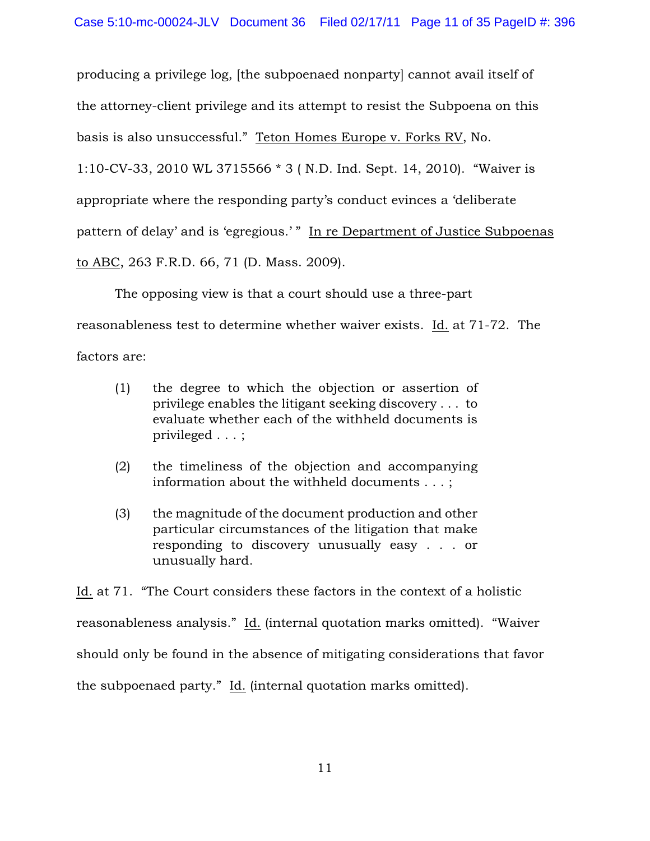producing a privilege log, [the subpoenaed nonparty] cannot avail itself of

the attorney-client privilege and its attempt to resist the Subpoena on this

basis is also unsuccessful." Teton Homes Europe v. Forks RV, No.

1:10-CV-33, 2010 WL 3715566 \* 3 ( N.D. Ind. Sept. 14, 2010). "Waiver is

appropriate where the responding party's conduct evinces a 'deliberate

pattern of delay' and is 'egregious.' " In re Department of Justice Subpoenas

to ABC, 263 F.R.D. 66, 71 (D. Mass. 2009).

The opposing view is that a court should use a three-part

reasonableness test to determine whether waiver exists. Id. at 71-72. The

factors are:

- (1) the degree to which the objection or assertion of privilege enables the litigant seeking discovery . . . to evaluate whether each of the withheld documents is privileged . . . ;
- (2) the timeliness of the objection and accompanying information about the withheld documents . . . ;
- (3) the magnitude of the document production and other particular circumstances of the litigation that make responding to discovery unusually easy . . . or unusually hard.

Id. at 71. "The Court considers these factors in the context of a holistic reasonableness analysis." Id. (internal quotation marks omitted). "Waiver should only be found in the absence of mitigating considerations that favor the subpoenaed party." Id. (internal quotation marks omitted).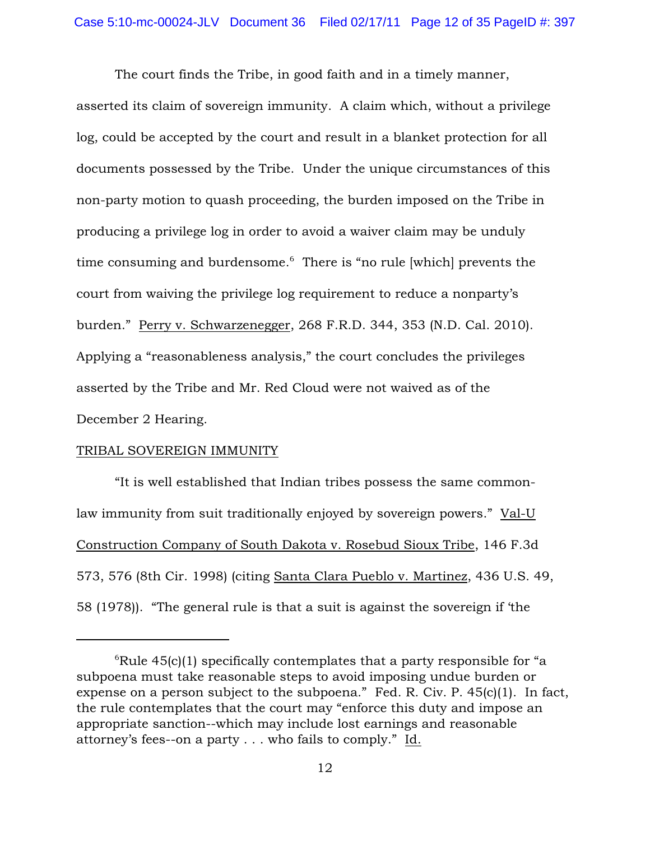The court finds the Tribe, in good faith and in a timely manner, asserted its claim of sovereign immunity. A claim which, without a privilege log, could be accepted by the court and result in a blanket protection for all documents possessed by the Tribe. Under the unique circumstances of this non-party motion to quash proceeding, the burden imposed on the Tribe in producing a privilege log in order to avoid a waiver claim may be unduly time consuming and burdensome. $6$  There is "no rule [which] prevents the court from waiving the privilege log requirement to reduce a nonparty's burden." Perry v. Schwarzenegger, 268 F.R.D. 344, 353 (N.D. Cal. 2010). Applying a "reasonableness analysis," the court concludes the privileges asserted by the Tribe and Mr. Red Cloud were not waived as of the December 2 Hearing.

## TRIBAL SOVEREIGN IMMUNITY

"It is well established that Indian tribes possess the same commonlaw immunity from suit traditionally enjoyed by sovereign powers." Val-U Construction Company of South Dakota v. Rosebud Sioux Tribe, 146 F.3d 573, 576 (8th Cir. 1998) (citing Santa Clara Pueblo v. Martinez, 436 U.S. 49, 58 (1978)). "The general rule is that a suit is against the sovereign if 'the

 ${}^{6}$ Rule 45(c)(1) specifically contemplates that a party responsible for "a subpoena must take reasonable steps to avoid imposing undue burden or expense on a person subject to the subpoena." Fed. R. Civ. P. 45(c)(1). In fact, the rule contemplates that the court may "enforce this duty and impose an appropriate sanction--which may include lost earnings and reasonable attorney's fees--on a party . . . who fails to comply." Id.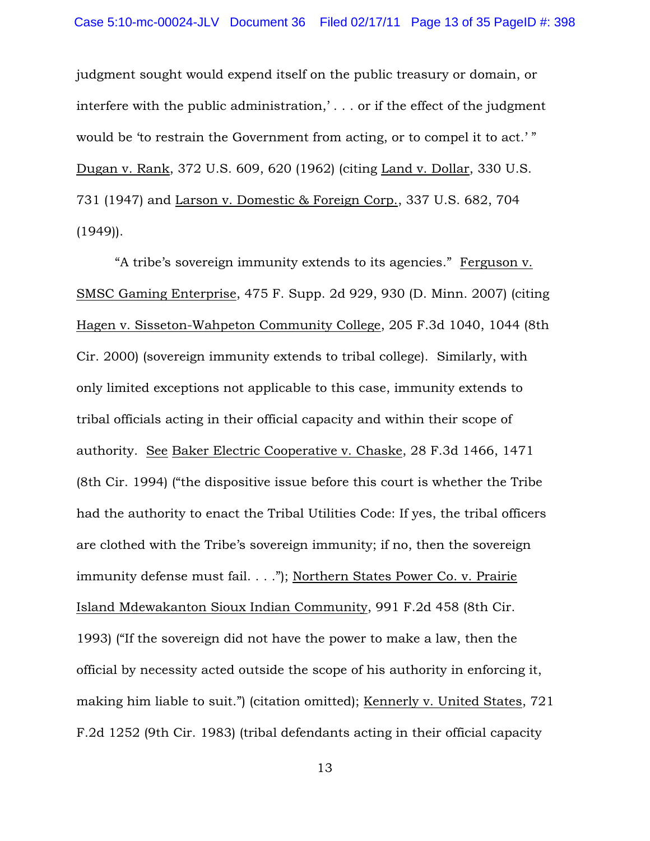judgment sought would expend itself on the public treasury or domain, or interfere with the public administration,' . . . or if the effect of the judgment would be 'to restrain the Government from acting, or to compel it to act.'" Dugan v. Rank, 372 U.S. 609, 620 (1962) (citing Land v. Dollar, 330 U.S. 731 (1947) and Larson v. Domestic & Foreign Corp., 337 U.S. 682, 704  $(1949)$ .

"A tribe's sovereign immunity extends to its agencies." Ferguson v. SMSC Gaming Enterprise, 475 F. Supp. 2d 929, 930 (D. Minn. 2007) (citing Hagen v. Sisseton-Wahpeton Community College, 205 F.3d 1040, 1044 (8th Cir. 2000) (sovereign immunity extends to tribal college). Similarly, with only limited exceptions not applicable to this case, immunity extends to tribal officials acting in their official capacity and within their scope of authority. See Baker Electric Cooperative v. Chaske, 28 F.3d 1466, 1471 (8th Cir. 1994) ("the dispositive issue before this court is whether the Tribe had the authority to enact the Tribal Utilities Code: If yes, the tribal officers are clothed with the Tribe's sovereign immunity; if no, then the sovereign immunity defense must fail. . . ."); Northern States Power Co. v. Prairie Island Mdewakanton Sioux Indian Community, 991 F.2d 458 (8th Cir. 1993) ("If the sovereign did not have the power to make a law, then the official by necessity acted outside the scope of his authority in enforcing it, making him liable to suit.") (citation omitted); Kennerly v. United States, 721 F.2d 1252 (9th Cir. 1983) (tribal defendants acting in their official capacity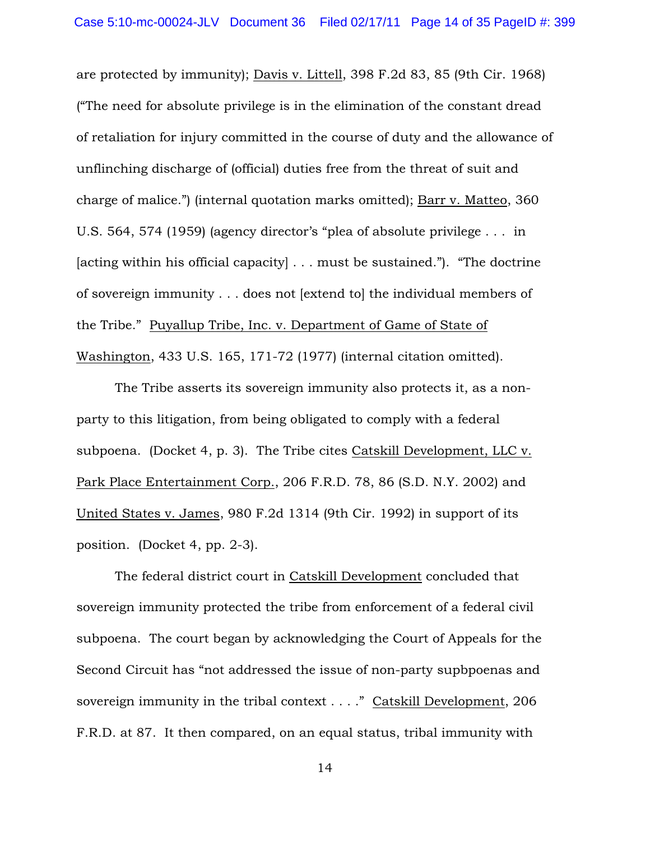are protected by immunity); Davis v. Littell, 398 F.2d 83, 85 (9th Cir. 1968) ("The need for absolute privilege is in the elimination of the constant dread of retaliation for injury committed in the course of duty and the allowance of unflinching discharge of (official) duties free from the threat of suit and charge of malice.") (internal quotation marks omitted); Barr v. Matteo, 360 U.S. 564, 574 (1959) (agency director's "plea of absolute privilege . . . in [acting within his official capacity] . . . must be sustained."). "The doctrine of sovereign immunity . . . does not [extend to] the individual members of the Tribe." Puyallup Tribe, Inc. v. Department of Game of State of Washington, 433 U.S. 165, 171-72 (1977) (internal citation omitted).

The Tribe asserts its sovereign immunity also protects it, as a nonparty to this litigation, from being obligated to comply with a federal subpoena. (Docket 4, p. 3). The Tribe cites Catskill Development, LLC v. Park Place Entertainment Corp., 206 F.R.D. 78, 86 (S.D. N.Y. 2002) and United States v. James, 980 F.2d 1314 (9th Cir. 1992) in support of its position. (Docket 4, pp. 2-3).

The federal district court in Catskill Development concluded that sovereign immunity protected the tribe from enforcement of a federal civil subpoena. The court began by acknowledging the Court of Appeals for the Second Circuit has "not addressed the issue of non-party supbpoenas and sovereign immunity in the tribal context . . . ." Catskill Development, 206 F.R.D. at 87. It then compared, on an equal status, tribal immunity with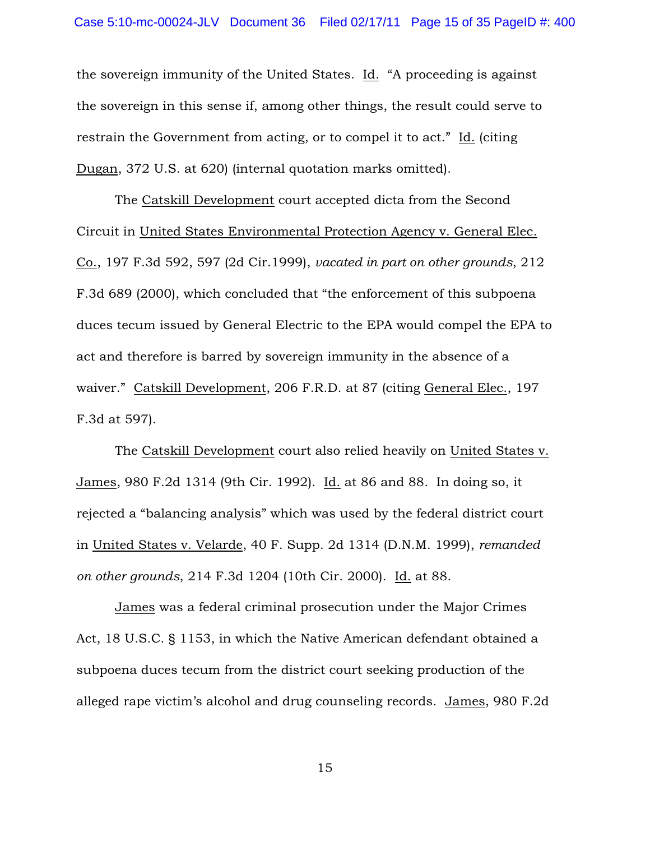the sovereign immunity of the United States. Id. "A proceeding is against the sovereign in this sense if, among other things, the result could serve to restrain the Government from acting, or to compel it to act." Id. (citing Dugan, 372 U.S. at 620) (internal quotation marks omitted).

The Catskill Development court accepted dicta from the Second Circuit in United States Environmental Protection Agency v. General Elec. Co., 197 F.3d 592, 597 (2d Cir.1999), *vacated in part on other grounds*, 212 F.3d 689 (2000), which concluded that "the enforcement of this subpoena duces tecum issued by General Electric to the EPA would compel the EPA to act and therefore is barred by sovereign immunity in the absence of a waiver." Catskill Development, 206 F.R.D. at 87 (citing General Elec., 197 F.3d at 597).

The Catskill Development court also relied heavily on United States v. James, 980 F.2d 1314 (9th Cir. 1992). Id. at 86 and 88. In doing so, it rejected a "balancing analysis" which was used by the federal district court in United States v. Velarde, 40 F. Supp. 2d 1314 (D.N.M. 1999), *remanded on other grounds*, 214 F.3d 1204 (10th Cir. 2000). Id. at 88.

James was a federal criminal prosecution under the Major Crimes Act, 18 U.S.C. § 1153, in which the Native American defendant obtained a subpoena duces tecum from the district court seeking production of the alleged rape victim's alcohol and drug counseling records. James, 980 F.2d

15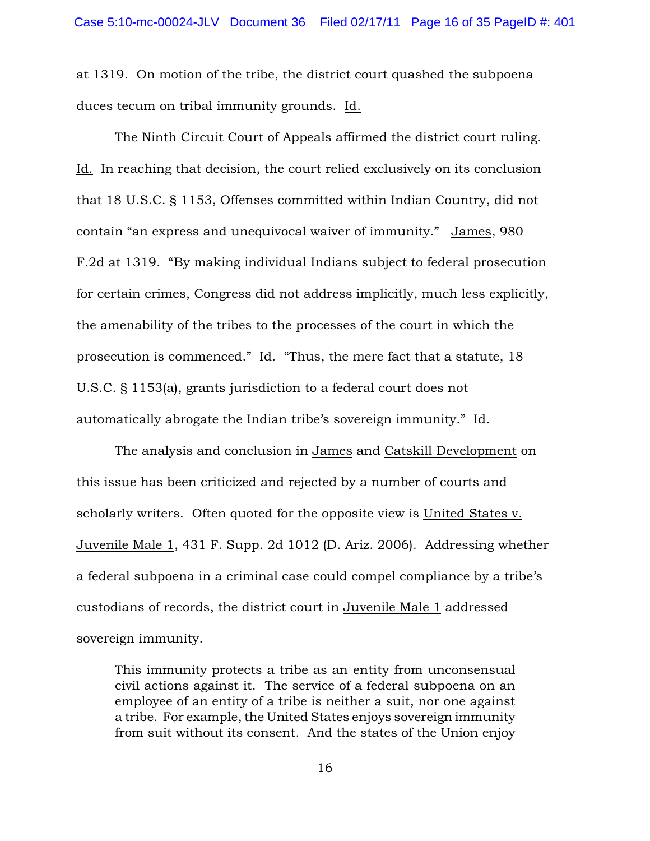at 1319. On motion of the tribe, the district court quashed the subpoena duces tecum on tribal immunity grounds. Id.

The Ninth Circuit Court of Appeals affirmed the district court ruling. Id. In reaching that decision, the court relied exclusively on its conclusion that 18 U.S.C. § 1153, Offenses committed within Indian Country, did not contain "an express and unequivocal waiver of immunity." James, 980 F.2d at 1319. "By making individual Indians subject to federal prosecution for certain crimes, Congress did not address implicitly, much less explicitly, the amenability of the tribes to the processes of the court in which the prosecution is commenced." Id. "Thus, the mere fact that a statute, 18 U.S.C. § 1153(a), grants jurisdiction to a federal court does not automatically abrogate the Indian tribe's sovereign immunity." Id.

The analysis and conclusion in James and Catskill Development on this issue has been criticized and rejected by a number of courts and scholarly writers. Often quoted for the opposite view is United States v. Juvenile Male 1, 431 F. Supp. 2d 1012 (D. Ariz. 2006). Addressing whether a federal subpoena in a criminal case could compel compliance by a tribe's custodians of records, the district court in Juvenile Male 1 addressed sovereign immunity.

This immunity protects a tribe as an entity from unconsensual civil actions against it. The service of a federal subpoena on an employee of an entity of a tribe is neither a suit, nor one against a tribe. For example, the United States enjoys sovereign immunity from suit without its consent. And the states of the Union enjoy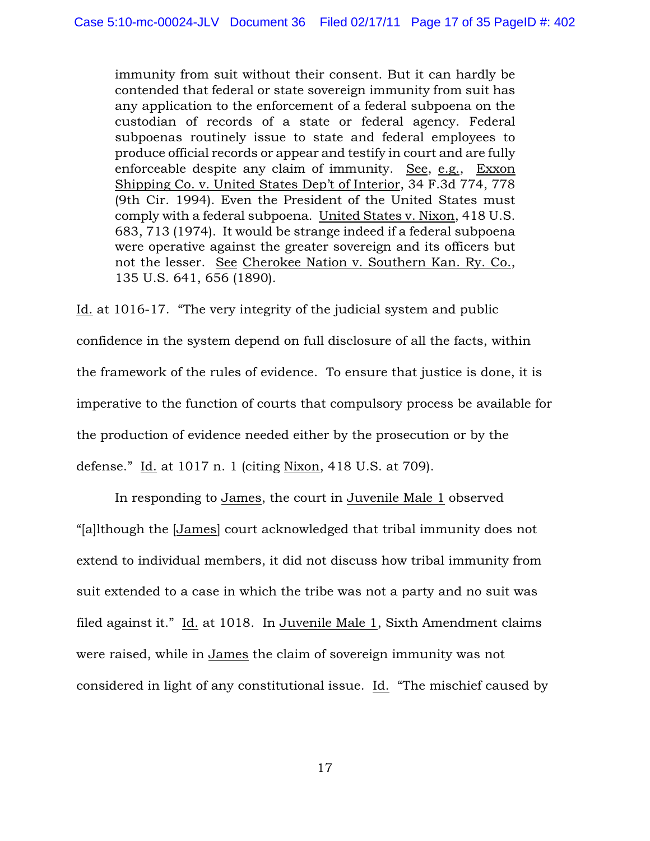immunity from suit without their consent. But it can hardly be contended that federal or state sovereign immunity from suit has any application to the enforcement of a federal subpoena on the custodian of records of a state or federal agency. Federal subpoenas routinely issue to state and federal employees to produce official records or appear and testify in court and are fully enforceable despite any claim of immunity. See, e.g., Exxon Shipping Co. v. United States Dep't of Interior, 34 F.3d 774, 778 (9th Cir. 1994). Even the President of the United States must comply with a federal subpoena. United States v. Nixon, 418 U.S. 683, 713 (1974). It would be strange indeed if a federal subpoena were operative against the greater sovereign and its officers but not the lesser. See Cherokee Nation v. Southern Kan. Ry. Co., 135 U.S. 641, 656 (1890).

Id. at 1016-17. "The very integrity of the judicial system and public confidence in the system depend on full disclosure of all the facts, within the framework of the rules of evidence. To ensure that justice is done, it is imperative to the function of courts that compulsory process be available for the production of evidence needed either by the prosecution or by the defense." Id. at 1017 n. 1 (citing Nixon, 418 U.S. at 709).

In responding to James, the court in Juvenile Male 1 observed "[a]lthough the [James] court acknowledged that tribal immunity does not extend to individual members, it did not discuss how tribal immunity from suit extended to a case in which the tribe was not a party and no suit was filed against it." Id. at 1018. In Juvenile Male 1, Sixth Amendment claims were raised, while in James the claim of sovereign immunity was not considered in light of any constitutional issue. Id. "The mischief caused by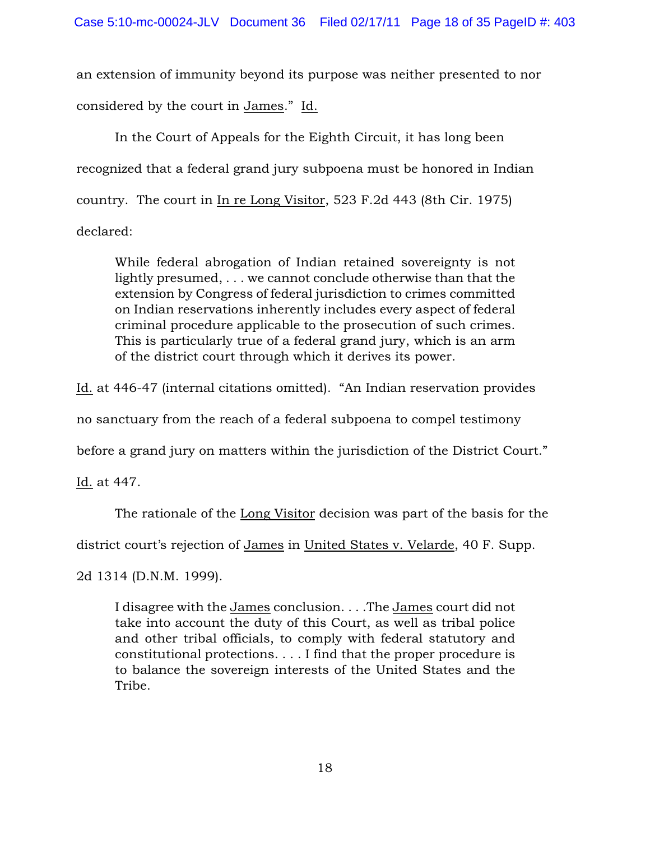an extension of immunity beyond its purpose was neither presented to nor considered by the court in James." Id.

In the Court of Appeals for the Eighth Circuit, it has long been recognized that a federal grand jury subpoena must be honored in Indian country. The court in In re Long Visitor, 523 F.2d 443 (8th Cir. 1975) declared:

While federal abrogation of Indian retained sovereignty is not lightly presumed, . . . we cannot conclude otherwise than that the extension by Congress of federal jurisdiction to crimes committed on Indian reservations inherently includes every aspect of federal criminal procedure applicable to the prosecution of such crimes. This is particularly true of a federal grand jury, which is an arm of the district court through which it derives its power.

Id. at 446-47 (internal citations omitted). "An Indian reservation provides

no sanctuary from the reach of a federal subpoena to compel testimony

before a grand jury on matters within the jurisdiction of the District Court."

Id. at 447.

The rationale of the Long Visitor decision was part of the basis for the

district court's rejection of James in United States v. Velarde, 40 F. Supp.

2d 1314 (D.N.M. 1999).

I disagree with the James conclusion. . . .The James court did not take into account the duty of this Court, as well as tribal police and other tribal officials, to comply with federal statutory and constitutional protections. . . . I find that the proper procedure is to balance the sovereign interests of the United States and the Tribe.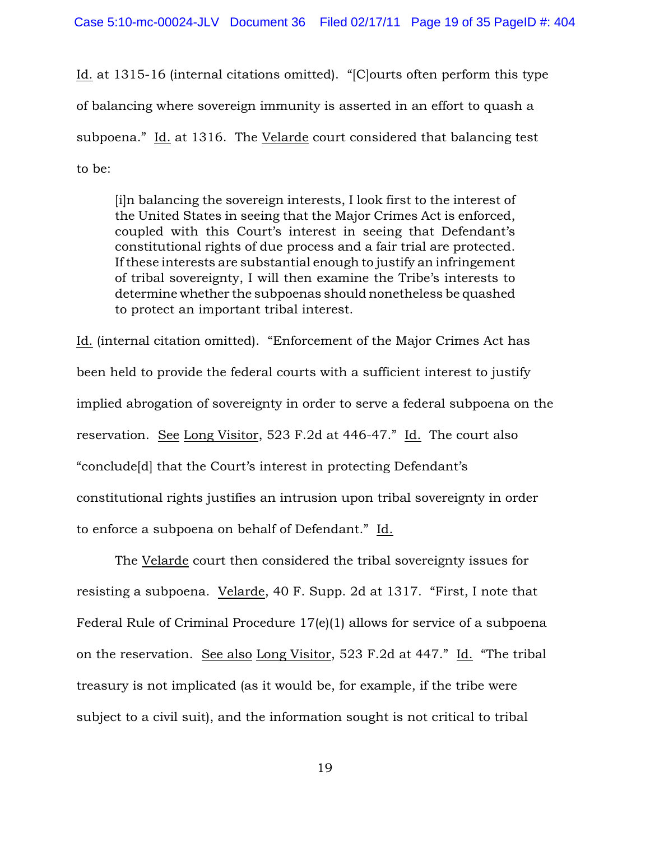Id. at 1315-16 (internal citations omitted). "[C]ourts often perform this type of balancing where sovereign immunity is asserted in an effort to quash a subpoena." Id. at 1316. The Velarde court considered that balancing test to be:

[i]n balancing the sovereign interests, I look first to the interest of the United States in seeing that the Major Crimes Act is enforced, coupled with this Court's interest in seeing that Defendant's constitutional rights of due process and a fair trial are protected. If these interests are substantial enough to justify an infringement of tribal sovereignty, I will then examine the Tribe's interests to determine whether the subpoenas should nonetheless be quashed to protect an important tribal interest.

Id. (internal citation omitted). "Enforcement of the Major Crimes Act has been held to provide the federal courts with a sufficient interest to justify implied abrogation of sovereignty in order to serve a federal subpoena on the reservation. See Long Visitor, 523 F.2d at 446-47." Id. The court also "conclude[d] that the Court's interest in protecting Defendant's constitutional rights justifies an intrusion upon tribal sovereignty in order to enforce a subpoena on behalf of Defendant." Id.

The Velarde court then considered the tribal sovereignty issues for resisting a subpoena. Velarde, 40 F. Supp. 2d at 1317. "First, I note that Federal Rule of Criminal Procedure 17(e)(1) allows for service of a subpoena on the reservation. See also Long Visitor, 523 F.2d at 447." Id. "The tribal treasury is not implicated (as it would be, for example, if the tribe were subject to a civil suit), and the information sought is not critical to tribal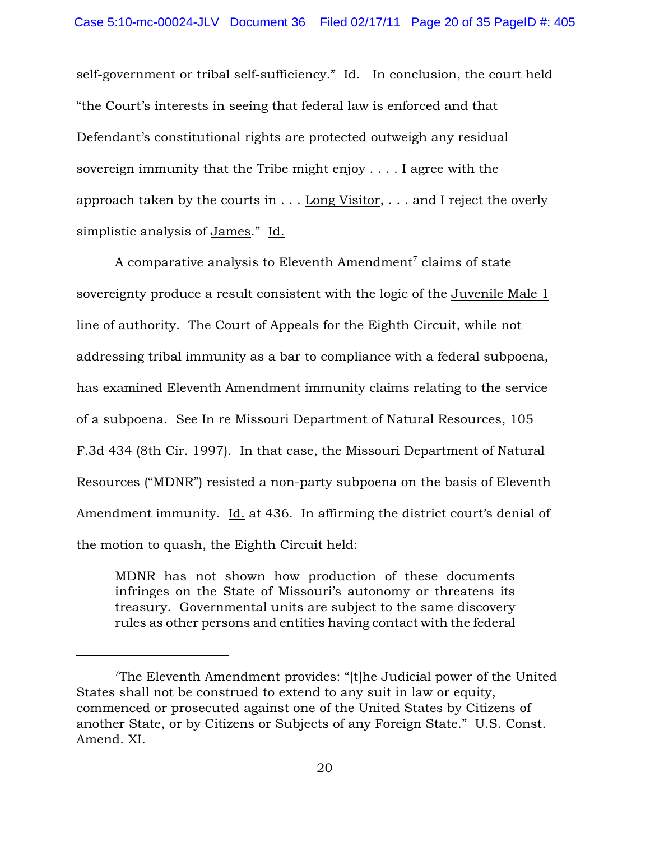self-government or tribal self-sufficiency." Id. In conclusion, the court held "the Court's interests in seeing that federal law is enforced and that Defendant's constitutional rights are protected outweigh any residual sovereign immunity that the Tribe might enjoy . . . . I agree with the approach taken by the courts in . . . Long Visitor, . . . and I reject the overly simplistic analysis of James." Id.

A comparative analysis to Eleventh Amendment<sup>7</sup> claims of state sovereignty produce a result consistent with the logic of the Juvenile Male 1 line of authority. The Court of Appeals for the Eighth Circuit, while not addressing tribal immunity as a bar to compliance with a federal subpoena, has examined Eleventh Amendment immunity claims relating to the service of a subpoena. See In re Missouri Department of Natural Resources, 105 F.3d 434 (8th Cir. 1997). In that case, the Missouri Department of Natural Resources ("MDNR") resisted a non-party subpoena on the basis of Eleventh Amendment immunity. Id. at 436. In affirming the district court's denial of the motion to quash, the Eighth Circuit held:

MDNR has not shown how production of these documents infringes on the State of Missouri's autonomy or threatens its treasury. Governmental units are subject to the same discovery rules as other persons and entities having contact with the federal

The Eleventh Amendment provides: "[t]he Judicial power of the United States shall not be construed to extend to any suit in law or equity, commenced or prosecuted against one of the United States by Citizens of another State, or by Citizens or Subjects of any Foreign State." U.S. Const. Amend. XI.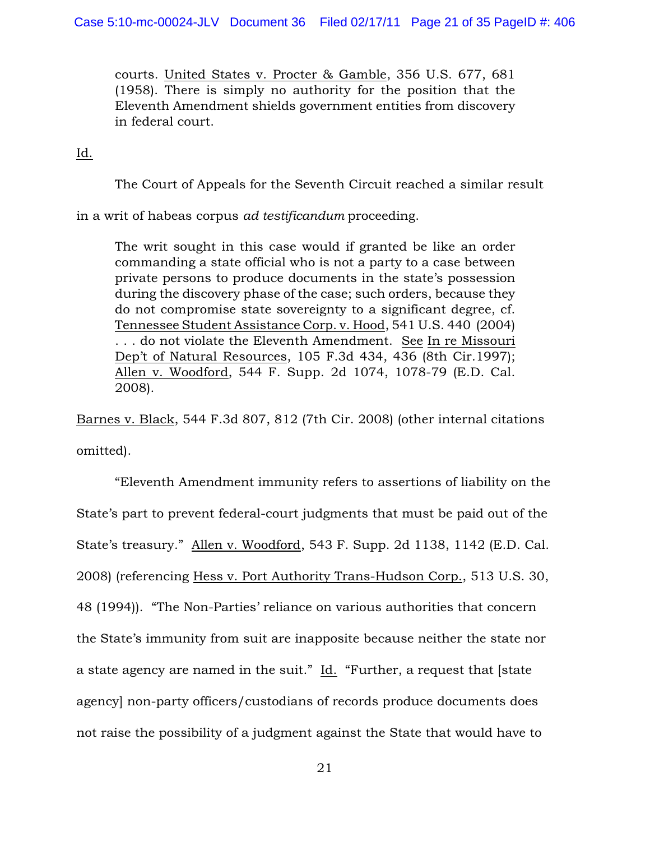courts. United States v. Procter & Gamble, 356 U.S. 677, 681 (1958). There is simply no authority for the position that the Eleventh Amendment shields government entities from discovery in federal court.

Id.

The Court of Appeals for the Seventh Circuit reached a similar result

in a writ of habeas corpus *ad testificandum* proceeding.

The writ sought in this case would if granted be like an order commanding a state official who is not a party to a case between private persons to produce documents in the state's possession during the discovery phase of the case; such orders, because they do not compromise state sovereignty to a significant degree, cf. Tennessee Student Assistance Corp. v. Hood, 541 U.S. 440 (2004) . . . do not violate the Eleventh Amendment. See In re Missouri Dep't of Natural Resources, 105 F.3d 434, 436 (8th Cir.1997); Allen v. Woodford, 544 F. Supp. 2d 1074, 1078-79 (E.D. Cal. 2008).

Barnes v. Black, 544 F.3d 807, 812 (7th Cir. 2008) (other internal citations omitted).

"Eleventh Amendment immunity refers to assertions of liability on the State's part to prevent federal-court judgments that must be paid out of the State's treasury." Allen v. Woodford, 543 F. Supp. 2d 1138, 1142 (E.D. Cal. 2008) (referencing Hess v. Port Authority Trans-Hudson Corp., 513 U.S. 30, 48 (1994)). "The Non-Parties' reliance on various authorities that concern the State's immunity from suit are inapposite because neither the state nor a state agency are named in the suit." Id. "Further, a request that [state agency] non-party officers/custodians of records produce documents does not raise the possibility of a judgment against the State that would have to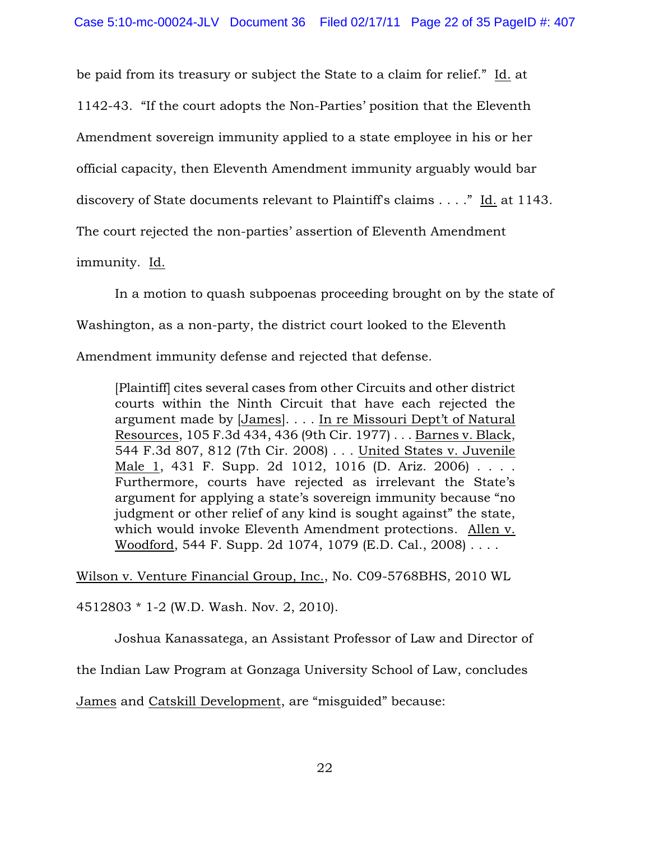be paid from its treasury or subject the State to a claim for relief." Id. at

1142-43. "If the court adopts the Non-Parties' position that the Eleventh

Amendment sovereign immunity applied to a state employee in his or her

official capacity, then Eleventh Amendment immunity arguably would bar

discovery of State documents relevant to Plaintiff's claims . . . ." Id. at 1143.

The court rejected the non-parties' assertion of Eleventh Amendment

immunity. Id.

In a motion to quash subpoenas proceeding brought on by the state of

Washington, as a non-party, the district court looked to the Eleventh

Amendment immunity defense and rejected that defense.

[Plaintiff] cites several cases from other Circuits and other district courts within the Ninth Circuit that have each rejected the argument made by [James]. . . . In re Missouri Dept't of Natural Resources, 105 F.3d 434, 436 (9th Cir. 1977) . . . Barnes v. Black, 544 F.3d 807, 812 (7th Cir. 2008) . . . United States v. Juvenile Male 1, 431 F. Supp. 2d 1012, 1016 (D. Ariz. 2006) . . . . Furthermore, courts have rejected as irrelevant the State's argument for applying a state's sovereign immunity because "no judgment or other relief of any kind is sought against" the state, which would invoke Eleventh Amendment protections. Allen v. Woodford, 544 F. Supp. 2d 1074, 1079 (E.D. Cal., 2008) . . . .

Wilson v. Venture Financial Group, Inc., No. C09-5768BHS, 2010 WL

4512803 \* 1-2 (W.D. Wash. Nov. 2, 2010).

Joshua Kanassatega, an Assistant Professor of Law and Director of

the Indian Law Program at Gonzaga University School of Law, concludes

James and Catskill Development, are "misguided" because: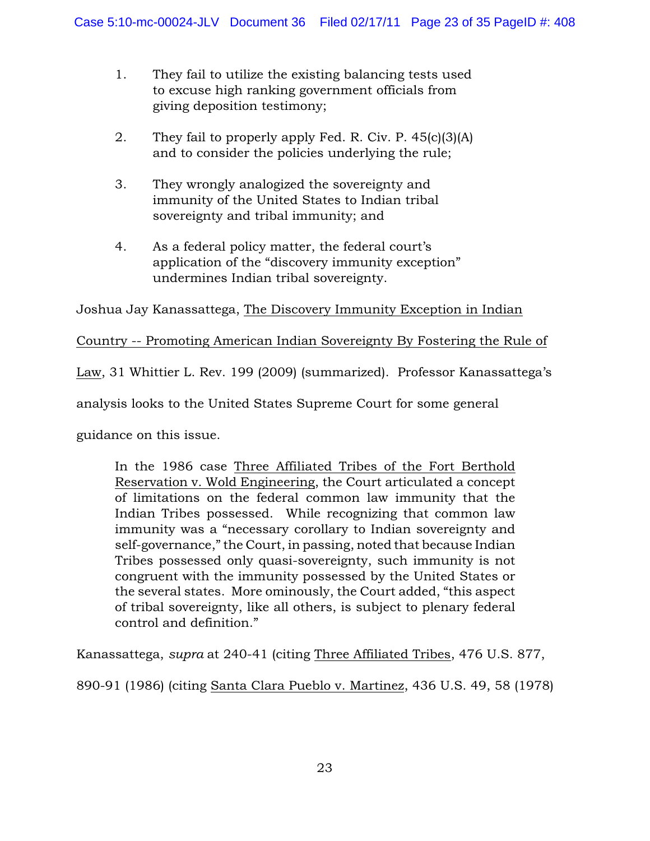- 1. They fail to utilize the existing balancing tests used to excuse high ranking government officials from giving deposition testimony;
- 2. They fail to properly apply Fed. R. Civ. P. 45(c)(3)(A) and to consider the policies underlying the rule;
- 3. They wrongly analogized the sovereignty and immunity of the United States to Indian tribal sovereignty and tribal immunity; and
- 4. As a federal policy matter, the federal court's application of the "discovery immunity exception" undermines Indian tribal sovereignty.

Joshua Jay Kanassattega, The Discovery Immunity Exception in Indian

# Country -- Promoting American Indian Sovereignty By Fostering the Rule of

Law, 31 Whittier L. Rev. 199 (2009) (summarized). Professor Kanassattega's

analysis looks to the United States Supreme Court for some general

guidance on this issue.

In the 1986 case Three Affiliated Tribes of the Fort Berthold Reservation v. Wold Engineering, the Court articulated a concept of limitations on the federal common law immunity that the Indian Tribes possessed. While recognizing that common law immunity was a "necessary corollary to Indian sovereignty and self-governance," the Court, in passing, noted that because Indian Tribes possessed only quasi-sovereignty, such immunity is not congruent with the immunity possessed by the United States or the several states. More ominously, the Court added, "this aspect of tribal sovereignty, like all others, is subject to plenary federal control and definition."

Kanassattega, *supra* at 240-41 (citing Three Affiliated Tribes, 476 U.S. 877,

890-91 (1986) (citing Santa Clara Pueblo v. Martinez, 436 U.S. 49, 58 (1978)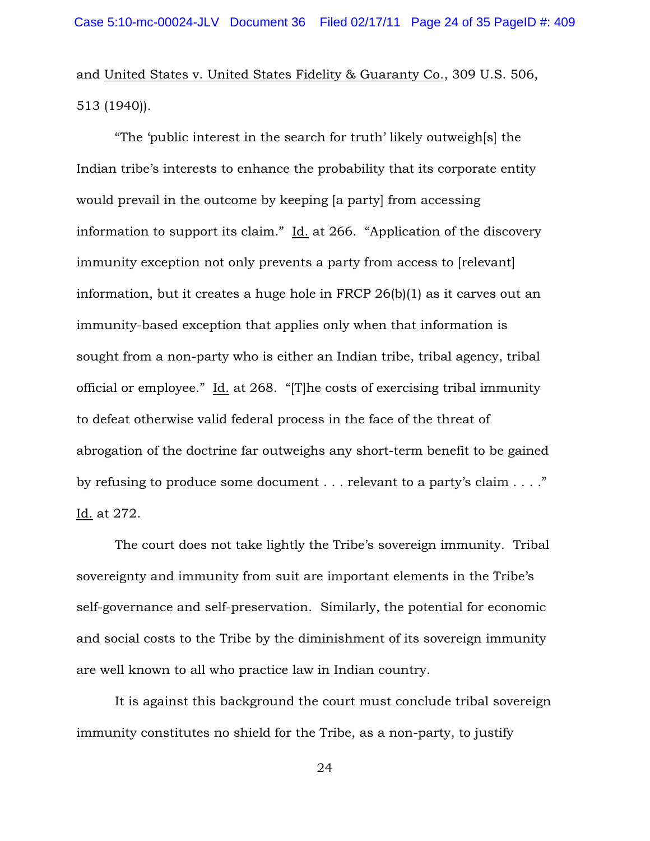and United States v. United States Fidelity & Guaranty Co., 309 U.S. 506, 513 (1940)).

"The 'public interest in the search for truth' likely outweigh[s] the Indian tribe's interests to enhance the probability that its corporate entity would prevail in the outcome by keeping [a party] from accessing information to support its claim." Id. at 266. "Application of the discovery immunity exception not only prevents a party from access to [relevant] information, but it creates a huge hole in FRCP 26(b)(1) as it carves out an immunity-based exception that applies only when that information is sought from a non-party who is either an Indian tribe, tribal agency, tribal official or employee." Id. at 268. "[T]he costs of exercising tribal immunity to defeat otherwise valid federal process in the face of the threat of abrogation of the doctrine far outweighs any short-term benefit to be gained by refusing to produce some document . . . relevant to a party's claim . . . ." Id. at 272.

The court does not take lightly the Tribe's sovereign immunity. Tribal sovereignty and immunity from suit are important elements in the Tribe's self-governance and self-preservation. Similarly, the potential for economic and social costs to the Tribe by the diminishment of its sovereign immunity are well known to all who practice law in Indian country.

It is against this background the court must conclude tribal sovereign immunity constitutes no shield for the Tribe, as a non-party, to justify

24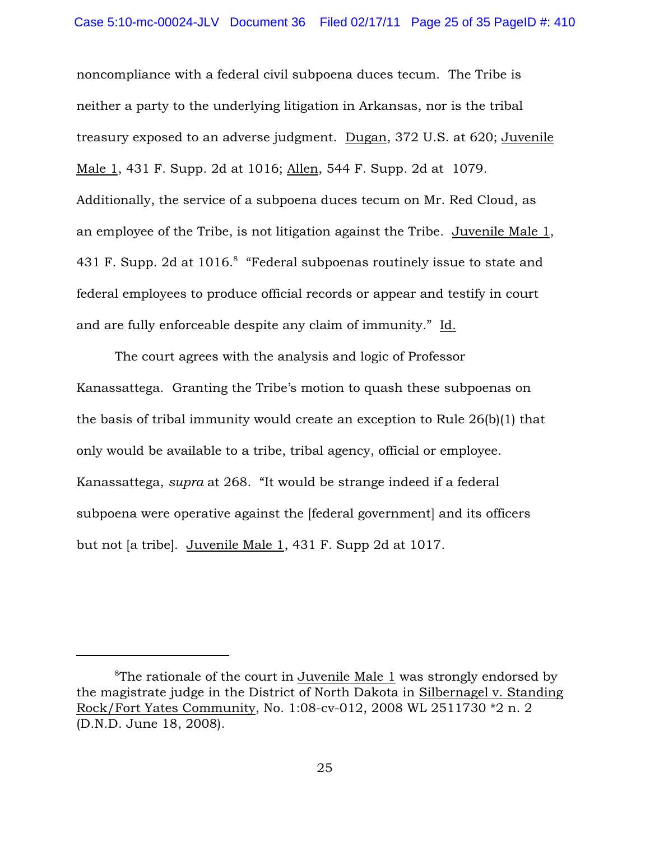noncompliance with a federal civil subpoena duces tecum. The Tribe is neither a party to the underlying litigation in Arkansas, nor is the tribal treasury exposed to an adverse judgment. Dugan, 372 U.S. at 620; Juvenile Male 1, 431 F. Supp. 2d at 1016; Allen, 544 F. Supp. 2d at 1079. Additionally, the service of a subpoena duces tecum on Mr. Red Cloud, as an employee of the Tribe, is not litigation against the Tribe. Juvenile Male 1, 431 F. Supp. 2d at 1016.<sup>8</sup> "Federal subpoenas routinely issue to state and federal employees to produce official records or appear and testify in court and are fully enforceable despite any claim of immunity." Id.

The court agrees with the analysis and logic of Professor Kanassattega. Granting the Tribe's motion to quash these subpoenas on the basis of tribal immunity would create an exception to Rule 26(b)(1) that only would be available to a tribe, tribal agency, official or employee. Kanassattega, *supra* at 268. "It would be strange indeed if a federal subpoena were operative against the [federal government] and its officers but not [a tribe]. Juvenile Male 1, 431 F. Supp 2d at 1017.

 ${}^8$ The rationale of the court in Juvenile Male 1 was strongly endorsed by the magistrate judge in the District of North Dakota in Silbernagel v. Standing Rock/Fort Yates Community, No. 1:08-cv-012, 2008 WL 2511730 \*2 n. 2 (D.N.D. June 18, 2008).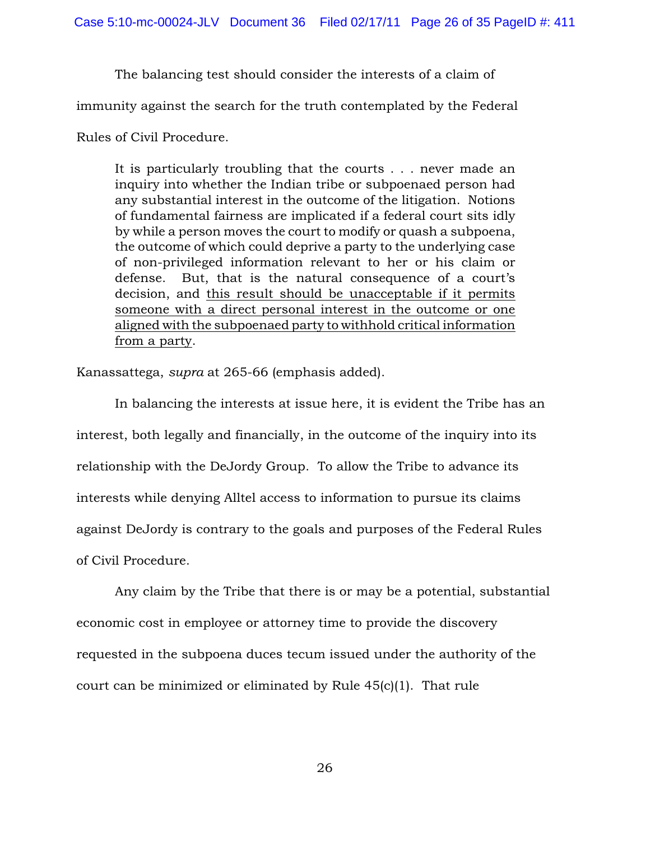The balancing test should consider the interests of a claim of

immunity against the search for the truth contemplated by the Federal

Rules of Civil Procedure.

It is particularly troubling that the courts . . . never made an inquiry into whether the Indian tribe or subpoenaed person had any substantial interest in the outcome of the litigation. Notions of fundamental fairness are implicated if a federal court sits idly by while a person moves the court to modify or quash a subpoena, the outcome of which could deprive a party to the underlying case of non-privileged information relevant to her or his claim or defense. But, that is the natural consequence of a court's decision, and this result should be unacceptable if it permits someone with a direct personal interest in the outcome or one aligned with the subpoenaed party to withhold critical information from a party.

Kanassattega, *supra* at 265-66 (emphasis added).

In balancing the interests at issue here, it is evident the Tribe has an interest, both legally and financially, in the outcome of the inquiry into its relationship with the DeJordy Group. To allow the Tribe to advance its interests while denying Alltel access to information to pursue its claims against DeJordy is contrary to the goals and purposes of the Federal Rules of Civil Procedure.

Any claim by the Tribe that there is or may be a potential, substantial economic cost in employee or attorney time to provide the discovery requested in the subpoena duces tecum issued under the authority of the court can be minimized or eliminated by Rule 45(c)(1). That rule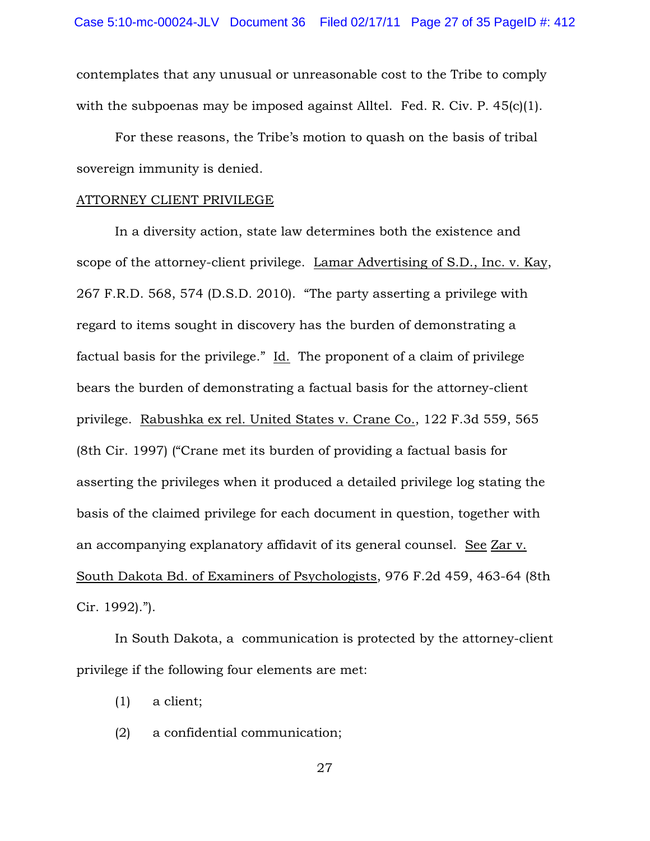contemplates that any unusual or unreasonable cost to the Tribe to comply with the subpoenas may be imposed against Alltel. Fed. R. Civ. P. 45(c)(1).

For these reasons, the Tribe's motion to quash on the basis of tribal sovereign immunity is denied.

### ATTORNEY CLIENT PRIVILEGE

In a diversity action, state law determines both the existence and scope of the attorney-client privilege. Lamar Advertising of S.D., Inc. v. Kay, 267 F.R.D. 568, 574 (D.S.D. 2010). "The party asserting a privilege with regard to items sought in discovery has the burden of demonstrating a factual basis for the privilege." Id. The proponent of a claim of privilege bears the burden of demonstrating a factual basis for the attorney-client privilege. Rabushka ex rel. United States v. Crane Co., 122 F.3d 559, 565 (8th Cir. 1997) ("Crane met its burden of providing a factual basis for asserting the privileges when it produced a detailed privilege log stating the basis of the claimed privilege for each document in question, together with an accompanying explanatory affidavit of its general counsel. See Zar v. South Dakota Bd. of Examiners of Psychologists, 976 F.2d 459, 463-64 (8th Cir. 1992).").

In South Dakota, a communication is protected by the attorney-client privilege if the following four elements are met:

- (1) a client;
- (2) a confidential communication;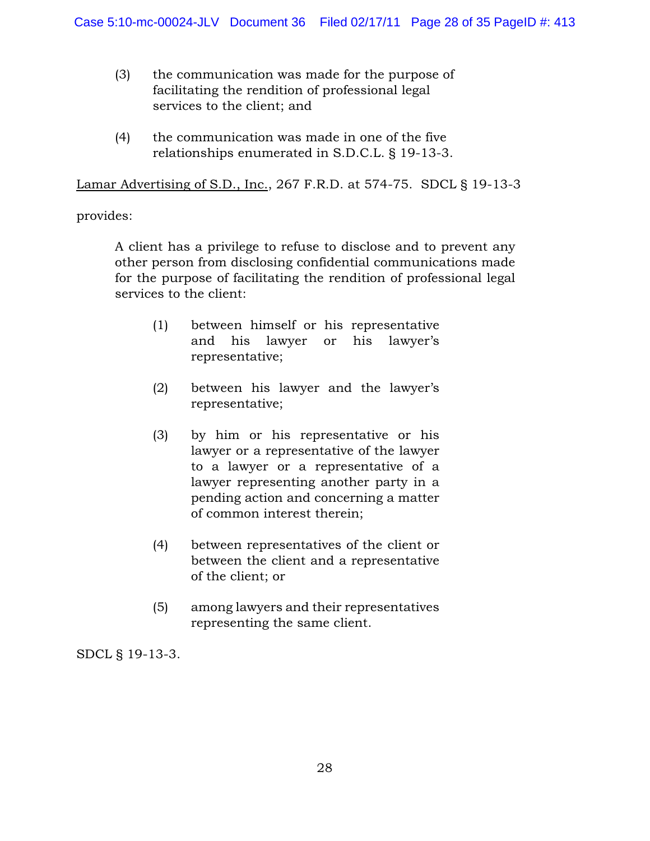- (3) the communication was made for the purpose of facilitating the rendition of professional legal services to the client; and
- (4) the communication was made in one of the five relationships enumerated in S.D.C.L. § 19-13-3.

Lamar Advertising of S.D., Inc., 267 F.R.D. at 574-75. SDCL § 19-13-3

## provides:

A client has a privilege to refuse to disclose and to prevent any other person from disclosing confidential communications made for the purpose of facilitating the rendition of professional legal services to the client:

- (1) between himself or his representative and his lawyer or his lawyer's representative;
- (2) between his lawyer and the lawyer's representative;
- (3) by him or his representative or his lawyer or a representative of the lawyer to a lawyer or a representative of a lawyer representing another party in a pending action and concerning a matter of common interest therein;
- (4) between representatives of the client or between the client and a representative of the client; or
- (5) among lawyers and their representatives representing the same client.

SDCL § 19-13-3.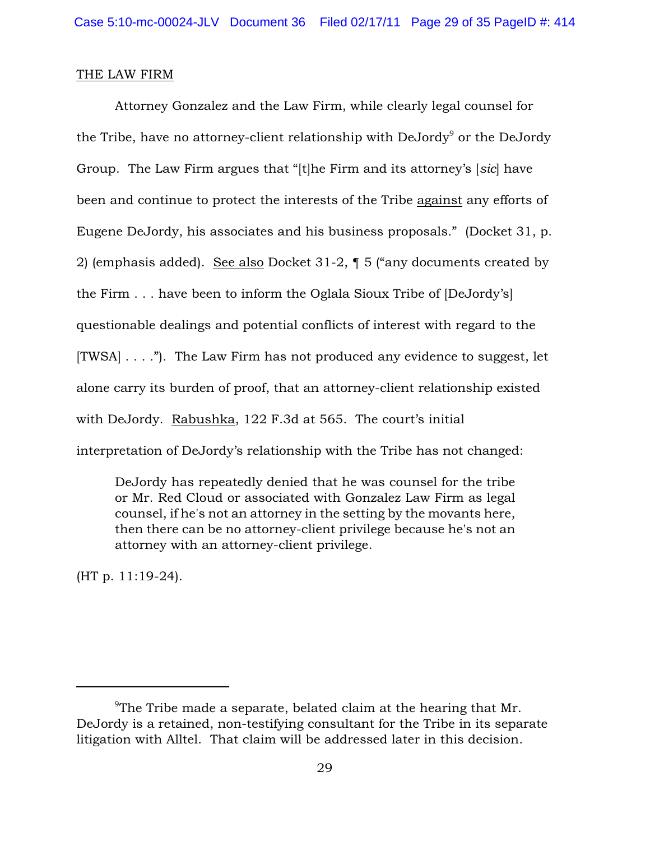## THE LAW FIRM

Attorney Gonzalez and the Law Firm, while clearly legal counsel for the Tribe, have no attorney-client relationship with  $DeJordy<sup>9</sup>$  or the DeJordy Group. The Law Firm argues that "[t]he Firm and its attorney's [*sic*] have been and continue to protect the interests of the Tribe against any efforts of Eugene DeJordy, his associates and his business proposals." (Docket 31, p. 2) (emphasis added). See also Docket 31-2, ¶ 5 ("any documents created by the Firm . . . have been to inform the Oglala Sioux Tribe of [DeJordy's] questionable dealings and potential conflicts of interest with regard to the  $[TWSA] \ldots$ ."). The Law Firm has not produced any evidence to suggest, let alone carry its burden of proof, that an attorney-client relationship existed with DeJordy. Rabushka, 122 F.3d at 565. The court's initial interpretation of DeJordy's relationship with the Tribe has not changed:

DeJordy has repeatedly denied that he was counsel for the tribe or Mr. Red Cloud or associated with Gonzalez Law Firm as legal counsel, if he's not an attorney in the setting by the movants here, then there can be no attorney-client privilege because he's not an attorney with an attorney-client privilege.

(HT p. 11:19-24).

<sup>&</sup>lt;sup>9</sup>The Tribe made a separate, belated claim at the hearing that Mr. DeJordy is a retained, non-testifying consultant for the Tribe in its separate litigation with Alltel. That claim will be addressed later in this decision.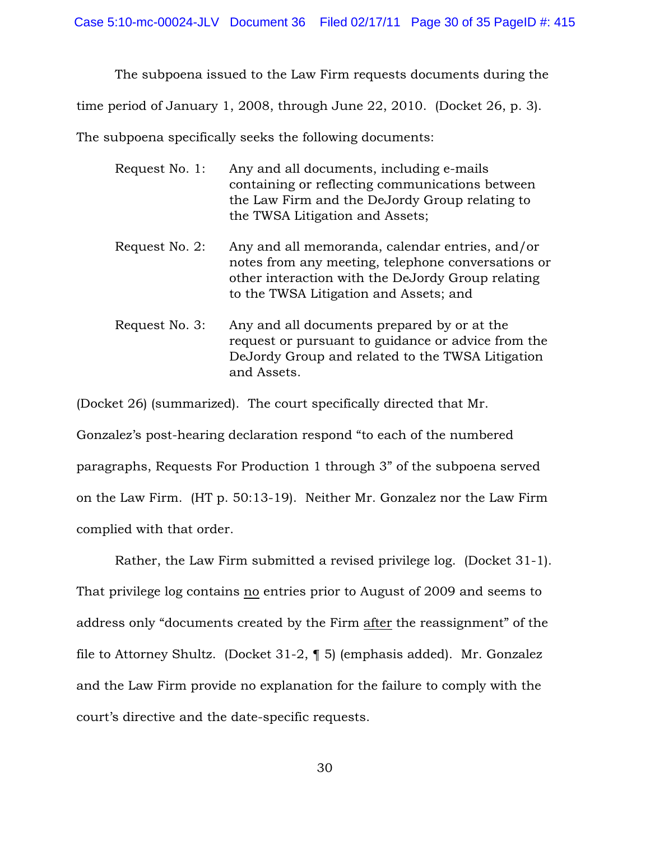The subpoena issued to the Law Firm requests documents during the time period of January 1, 2008, through June 22, 2010. (Docket 26, p. 3). The subpoena specifically seeks the following documents:

| Request No. 1:                                              | Any and all documents, including e-mails<br>containing or reflecting communications between<br>the Law Firm and the DeJordy Group relating to<br>the TWSA Litigation and Assets;                     |
|-------------------------------------------------------------|------------------------------------------------------------------------------------------------------------------------------------------------------------------------------------------------------|
| Request No. 2:                                              | Any and all memoranda, calendar entries, and/or<br>notes from any meeting, telephone conversations or<br>other interaction with the DeJordy Group relating<br>to the TWSA Litigation and Assets; and |
| $D_{\alpha\alpha\mu\alpha\alpha}$ N <sub>a</sub> $\alpha$ . | $\Lambda$ py and all dequments prepared by an of the                                                                                                                                                 |

Request No. 3: Any and all documents prepared by or at the request or pursuant to guidance or advice from the DeJordy Group and related to the TWSA Litigation and Assets.

(Docket 26) (summarized). The court specifically directed that Mr.

Gonzalez's post-hearing declaration respond "to each of the numbered paragraphs, Requests For Production 1 through 3" of the subpoena served on the Law Firm. (HT p. 50:13-19). Neither Mr. Gonzalez nor the Law Firm complied with that order.

Rather, the Law Firm submitted a revised privilege log. (Docket 31-1). That privilege log contains no entries prior to August of 2009 and seems to address only "documents created by the Firm after the reassignment" of the file to Attorney Shultz. (Docket 31-2, ¶ 5) (emphasis added). Mr. Gonzalez and the Law Firm provide no explanation for the failure to comply with the court's directive and the date-specific requests.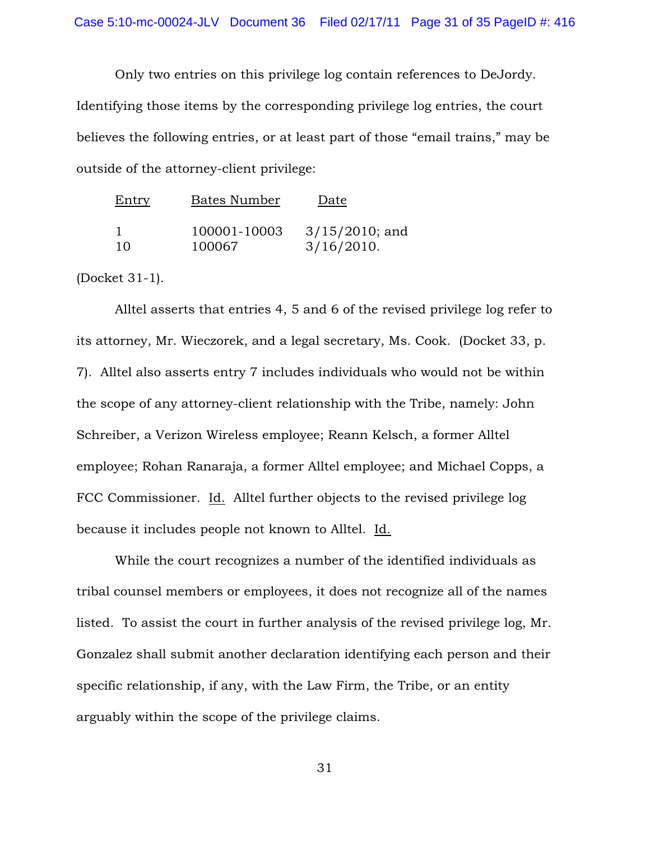Only two entries on this privilege log contain references to DeJordy. Identifying those items by the corresponding privilege log entries, the court believes the following entries, or at least part of those "email trains," may be outside of the attorney-client privilege:

| <b>Entry</b> | <b>Bates Number</b> | Date              |
|--------------|---------------------|-------------------|
|              | 100001-10003        | $3/15/2010$ ; and |
| 10           | 100067              | 3/16/2010.        |

(Docket 31-1).

Alltel asserts that entries 4, 5 and 6 of the revised privilege log refer to its attorney, Mr. Wieczorek, and a legal secretary, Ms. Cook. (Docket 33, p. 7). Alltel also asserts entry 7 includes individuals who would not be within the scope of any attorney-client relationship with the Tribe, namely: John Schreiber, a Verizon Wireless employee; Reann Kelsch, a former Alltel employee; Rohan Ranaraja, a former Alltel employee; and Michael Copps, a FCC Commissioner. Id. Alltel further objects to the revised privilege log because it includes people not known to Alltel. Id.

While the court recognizes a number of the identified individuals as tribal counsel members or employees, it does not recognize all of the names listed. To assist the court in further analysis of the revised privilege log, Mr. Gonzalez shall submit another declaration identifying each person and their specific relationship, if any, with the Law Firm, the Tribe, or an entity arguably within the scope of the privilege claims.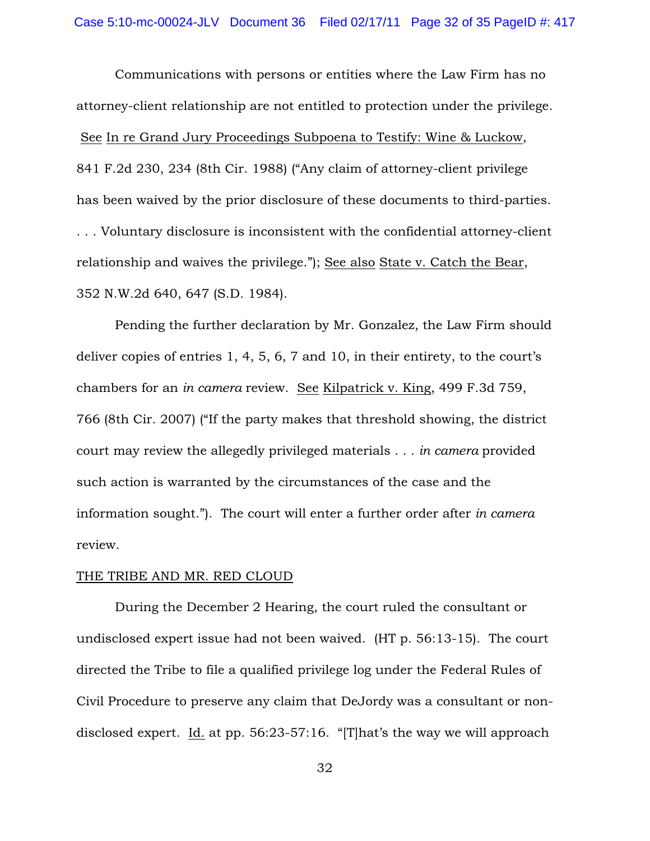Communications with persons or entities where the Law Firm has no attorney-client relationship are not entitled to protection under the privilege. See In re Grand Jury Proceedings Subpoena to Testify: Wine & Luckow, 841 F.2d 230, 234 (8th Cir. 1988) ("Any claim of attorney-client privilege has been waived by the prior disclosure of these documents to third-parties. . . . Voluntary disclosure is inconsistent with the confidential attorney-client relationship and waives the privilege."); See also State v. Catch the Bear, 352 N.W.2d 640, 647 (S.D. 1984).

Pending the further declaration by Mr. Gonzalez, the Law Firm should deliver copies of entries 1, 4, 5, 6, 7 and 10, in their entirety, to the court's chambers for an *in camera* review. See Kilpatrick v. King, 499 F.3d 759, 766 (8th Cir. 2007) ("If the party makes that threshold showing, the district court may review the allegedly privileged materials . . . *in camera* provided such action is warranted by the circumstances of the case and the information sought."). The court will enter a further order after *in camera* review.

### THE TRIBE AND MR. RED CLOUD

During the December 2 Hearing, the court ruled the consultant or undisclosed expert issue had not been waived. (HT p. 56:13-15). The court directed the Tribe to file a qualified privilege log under the Federal Rules of Civil Procedure to preserve any claim that DeJordy was a consultant or nondisclosed expert. Id. at pp. 56:23-57:16. "[T]hat's the way we will approach

32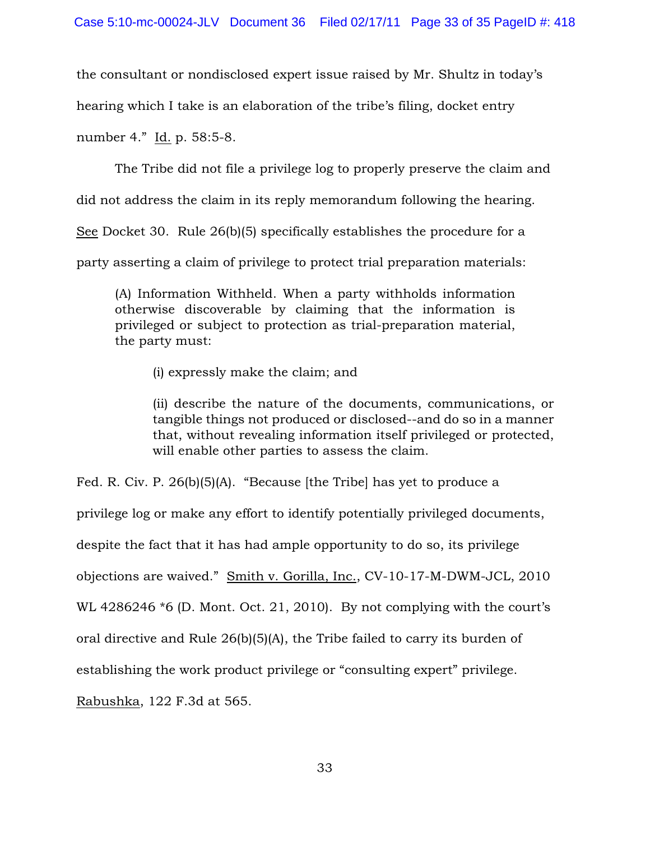the consultant or nondisclosed expert issue raised by Mr. Shultz in today's

hearing which I take is an elaboration of the tribe's filing, docket entry

number 4." Id. p. 58:5-8.

The Tribe did not file a privilege log to properly preserve the claim and

did not address the claim in its reply memorandum following the hearing.

See Docket 30. Rule 26(b)(5) specifically establishes the procedure for a

party asserting a claim of privilege to protect trial preparation materials:

(A) Information Withheld. When a party withholds information otherwise discoverable by claiming that the information is privileged or subject to protection as trial-preparation material, the party must:

(i) expressly make the claim; and

(ii) describe the nature of the documents, communications, or tangible things not produced or disclosed--and do so in a manner that, without revealing information itself privileged or protected, will enable other parties to assess the claim.

Fed. R. Civ. P. 26(b)(5)(A). "Because [the Tribe] has yet to produce a

privilege log or make any effort to identify potentially privileged documents,

despite the fact that it has had ample opportunity to do so, its privilege

objections are waived." Smith v. Gorilla, Inc., CV-10-17-M-DWM-JCL, 2010

WL 4286246  $*$ 6 (D. Mont. Oct. 21, 2010). By not complying with the court's

oral directive and Rule 26(b)(5)(A), the Tribe failed to carry its burden of

establishing the work product privilege or "consulting expert" privilege.

Rabushka, 122 F.3d at 565.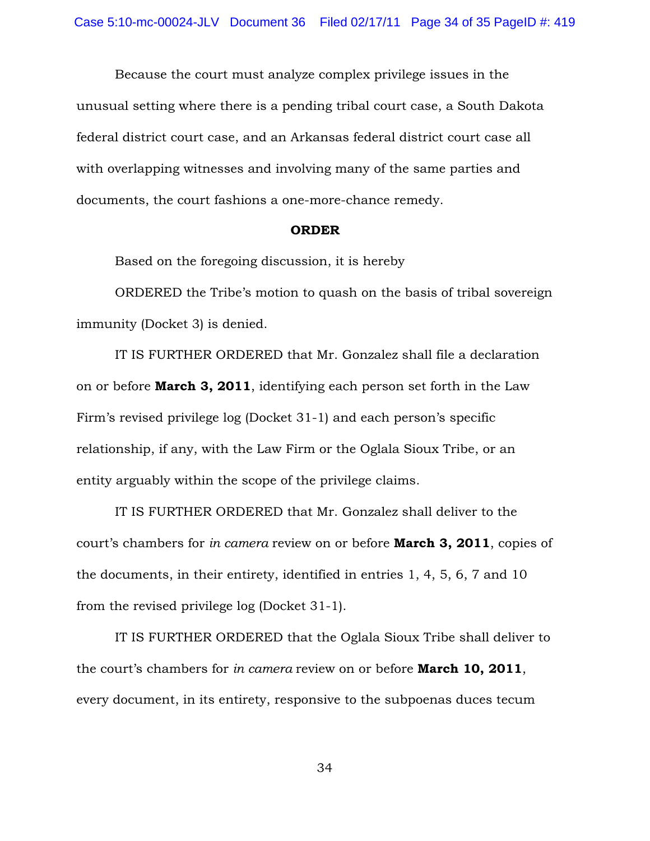Because the court must analyze complex privilege issues in the unusual setting where there is a pending tribal court case, a South Dakota federal district court case, and an Arkansas federal district court case all with overlapping witnesses and involving many of the same parties and documents, the court fashions a one-more-chance remedy.

### ORDER

Based on the foregoing discussion, it is hereby

ORDERED the Tribe's motion to quash on the basis of tribal sovereign immunity (Docket 3) is denied.

IT IS FURTHER ORDERED that Mr. Gonzalez shall file a declaration on or before March 3, 2011, identifying each person set forth in the Law Firm's revised privilege log (Docket 31-1) and each person's specific relationship, if any, with the Law Firm or the Oglala Sioux Tribe, or an entity arguably within the scope of the privilege claims.

IT IS FURTHER ORDERED that Mr. Gonzalez shall deliver to the court's chambers for *in camera* review on or before March 3, 2011, copies of the documents, in their entirety, identified in entries 1, 4, 5, 6, 7 and 10 from the revised privilege log (Docket 31-1).

IT IS FURTHER ORDERED that the Oglala Sioux Tribe shall deliver to the court's chambers for *in camera* review on or before March 10, 2011, every document, in its entirety, responsive to the subpoenas duces tecum